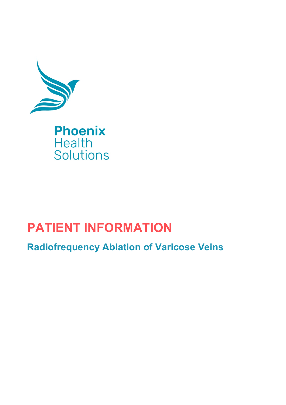

# **PATIENT INFORMATION**

**Radiofrequency Ablation of Varicose Veins**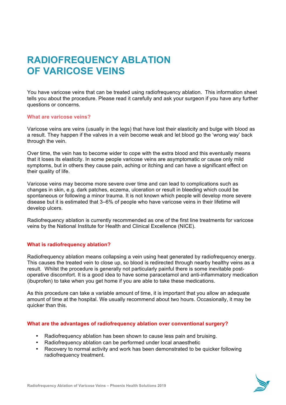# **RADIOFREQUENCY ABLATION OF VARICOSE VEINS**

You have varicose veins that can be treated using radiofrequency ablation. This information sheet tells you about the procedure. Please read it carefully and ask your surgeon if you have any further questions or concerns.

# **What are varicose veins?**

Varicose veins are veins (usually in the legs) that have lost their elasticity and bulge with blood as a result. They happen if the valves in a vein become weak and let blood go the 'wrong way' back through the vein.

Over time, the vein has to become wider to cope with the extra blood and this eventually means that it loses its elasticity. In some people varicose veins are asymptomatic or cause only mild symptoms, but in others they cause pain, aching or itching and can have a significant effect on their quality of life.

Varicose veins may become more severe over time and can lead to complications such as changes in skin, e.g. dark patches, eczema, ulceration or result in bleeding which could be spontaneous or following a minor trauma. It is not known which people will develop more severe disease but it is estimated that 3–6% of people who have varicose veins in their lifetime will develop ulcers.

Radiofrequency ablation is currently recommended as one of the first line treatments for varicose veins by the National Institute for Health and Clinical Excellence (NICE).

# **What is radiofrequency ablation?**

Radiofrequency ablation means collapsing a vein using heat generated by radiofrequency energy. This causes the treated vein to close up, so blood is redirected through nearby healthy veins as a result. Whilst the procedure is generally not particularly painful there is some inevitable postoperative discomfort. It is a good idea to have some paracetamol and anti-inflammatory medication (ibuprofen) to take when you get home if you are able to take these medications.

As this procedure can take a variable amount of time, it is important that you allow an adequate amount of time at the hospital. We usually recommend about two hours. Occasionally, it may be quicker than this.

#### **What are the advantages of radiofrequency ablation over conventional surgery?**

- Radiofrequency ablation has been shown to cause less pain and bruising.
- Radiofrequency ablation can be performed under local anaesthetic
- Recovery to normal activity and work has been demonstrated to be quicker following radiofrequency treatment.

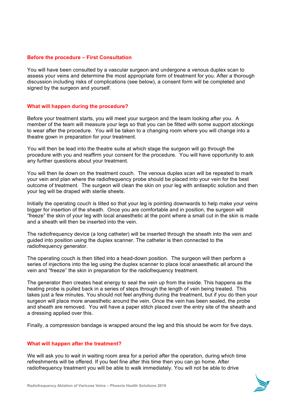# **Before the procedure – First Consultation**

You will have been consulted by a vascular surgeon and undergone a venous duplex scan to assess your veins and determine the most appropriate form of treatment for you. After a thorough discussion including risks of complications (see below), a consent form will be completed and signed by the surgeon and yourself.

# **What will happen during the procedure?**

Before your treatment starts, you will meet your surgeon and the team looking after you. A member of the team will measure your legs so that you can be fitted with some support stockings to wear after the procedure. You will be taken to a changing room where you will change into a theatre gown in preparation for your treatment.

You will then be lead into the theatre suite at which stage the surgeon will go through the procedure with you and reaffirm your consent for the procedure. You will have opportunity to ask any further questions about your treatment.

You will then lie down on the treatment couch. The venous duplex scan will be repeated to mark your vein and plan where the radiofrequency probe should be placed into your vein for the best outcome of treatment. The surgeon will clean the skin on your leg with antiseptic solution and then your leg will be draped with sterile sheets.

Initially the operating couch is tilted so that your leg is pointing downwards to help make your veins bigger for insertion of the sheath. Once you are comfortable and in position, the surgeon will "freeze" the skin of your leg with local anaesthetic at the point where a small cut in the skin is made and a sheath will then be inserted into the vein

The radiofrequency device (a long catheter) will be inserted through the sheath into the vein and guided into position using the duplex scanner. The catheter is then connected to the radiofrequency generator.

The operating couch is then tilted into a head-down position. The surgeon will then perform a series of injections into the leg using the duplex scanner to place local anaesthetic all around the vein and "freeze" the skin in preparation for the radiofrequency treatment.

The generator then creates heat energy to seal the vein up from the inside. This happens as the heating probe is pulled back in a series of steps through the length of vein being treated. This takes just a few minutes. You should not feel anything during the treatment, but if you do then your surgeon will place more anaesthetic around the vein. Once the vein has been sealed, the probe and sheath are removed. You will have a paper stitch placed over the entry site of the sheath and a dressing applied over this.

Finally, a compression bandage is wrapped around the leg and this should be worn for five days.

# **What will happen after the treatment?**

We will ask you to wait in waiting room area for a period after the operation, during which time refreshments will be offered. If you feel fine after this time then you can go home. After radiofrequency treatment you will be able to walk immediately. You will not be able to drive

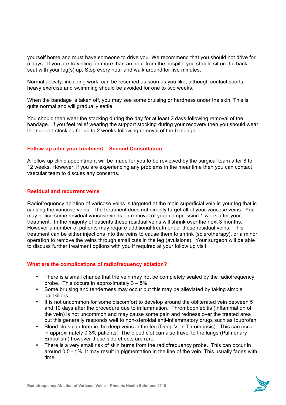yourself home and must have someone to drive you. We recommend that you should not drive for 5 days. If you are travelling for more than an hour from the hospital you should sit on the back seat with your leg(s) up. Stop every hour and walk around for five minutes.

Normal activity, including work, can be resumed as soon as you like, although contact sports, heavy exercise and swimming should be avoided for one to two weeks.

When the bandage is taken off, you may see some bruising or hardness under the skin. This is quite normal and will gradually settle.

You should then wear the stocking during the day for at least 2 days following removal of the bandage. If you feel relief wearing the support stocking during your recovery then you should wear the support stocking for up to 2 weeks following removal of the bandage.

# **Follow up after your treatment – Second Consultation**

A follow up clinic appointment will be made for you to be reviewed by the surgical team after 8 to 12 weeks. However, if you are experiencing any problems in the meantime then you can contact vascular team to discuss any concerns.

# **Residual and recurrent veins**

Radiofrequency ablation of varicose veins is targeted at the main superficial vein in your leg that is causing the varicose veins. The treatment does not directly target all of your varicose veins. You may notice some residual varicose veins on removal of your compression 1 week after your treatment. In the majority of patients these residual veins will shrink over the next 3 months. However a number of patients may require additional treatment of these residual veins. This treatment can be either injections into the veins to cause them to shrink (sclerotherapy), or a minor operation to remove the veins through small cuts in the leg (avulsions). Your surgeon will be able to discuss further treatment options with you if required at your follow up visit.

# **What are the complications of radiofrequency ablation?**

- There is a small chance that the vein may not be completely sealed by the radiofrequency probe. This occurs in approximately  $3 - 5\%$ .
- Some bruising and tenderness may occur but this may be alleviated by taking simple painkillers.
- It is not uncommon for some discomfort to develop around the obliterated vein between 5 and 10 days after the procedure due to inflammation. Thrombophlebitis (Inflammation of the vein) is not uncommon and may cause some pain and redness over the treated area but this generally responds well to non-steroidal anti-inflammatory drugs such as Ibuprofen.
- Blood clots can form in the deep veins in the leg (Deep Vein Thrombosis). This can occur in approximately 0.3% patients. The blood clot can also travel to the lungs (Pulmonary Embolism) however these side effects are rare.
- There is a very small risk of skin burns from the radiofrequency probe. This can occur in around 0.5 - 1%. It may result in pigmentation in the line of the vein. This usually fades with time.